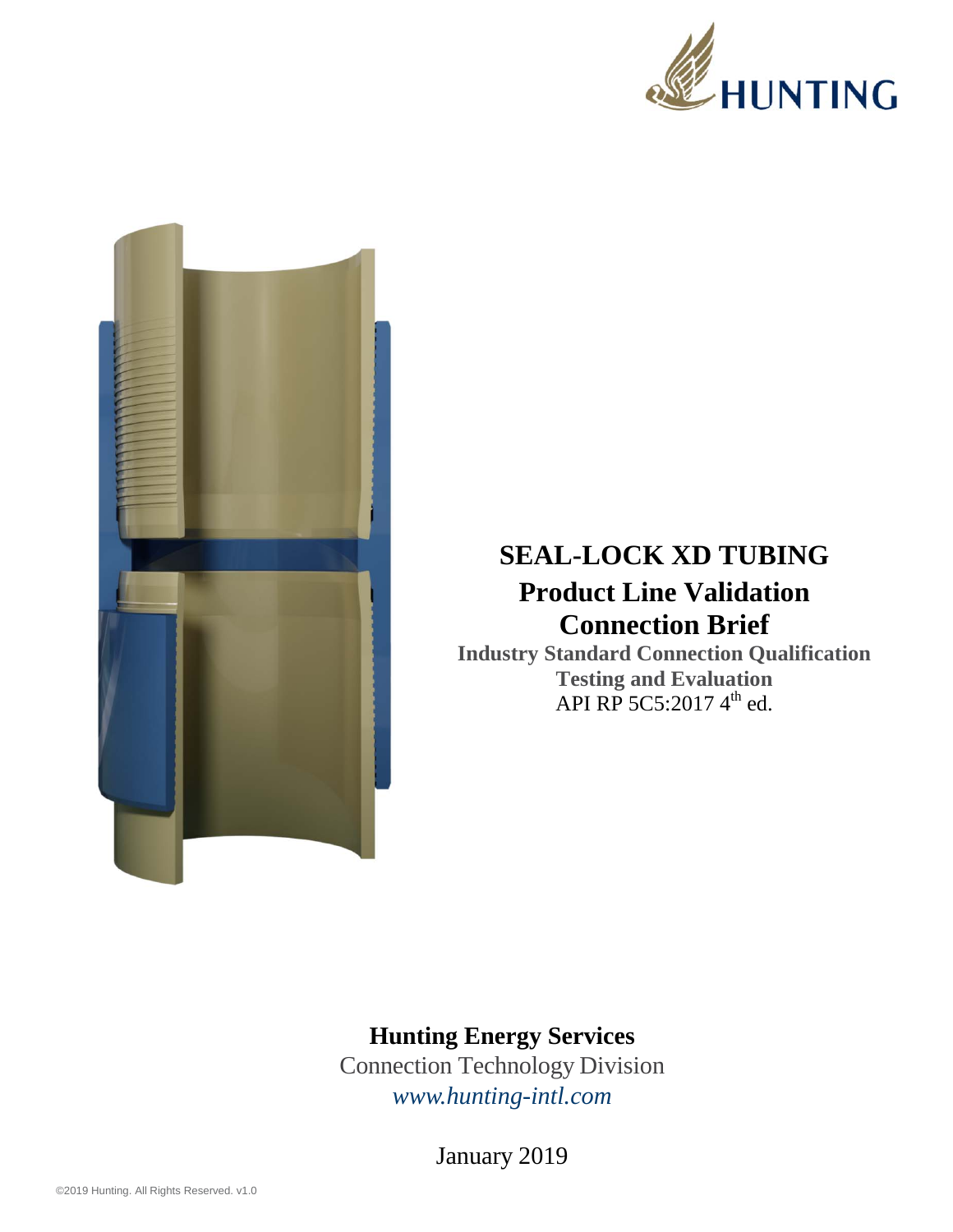



## **SEAL-LOCK XD TUBING Product Line Validation Connection Brief**

**Industry Standard Connection Qualification Testing and Evaluation**  API RP 5C5:2017  $4^{\text{th}}$  ed.

## **Hunting Energy Services**

Connection Technology Division *www.hunting-intl.com*

January 2019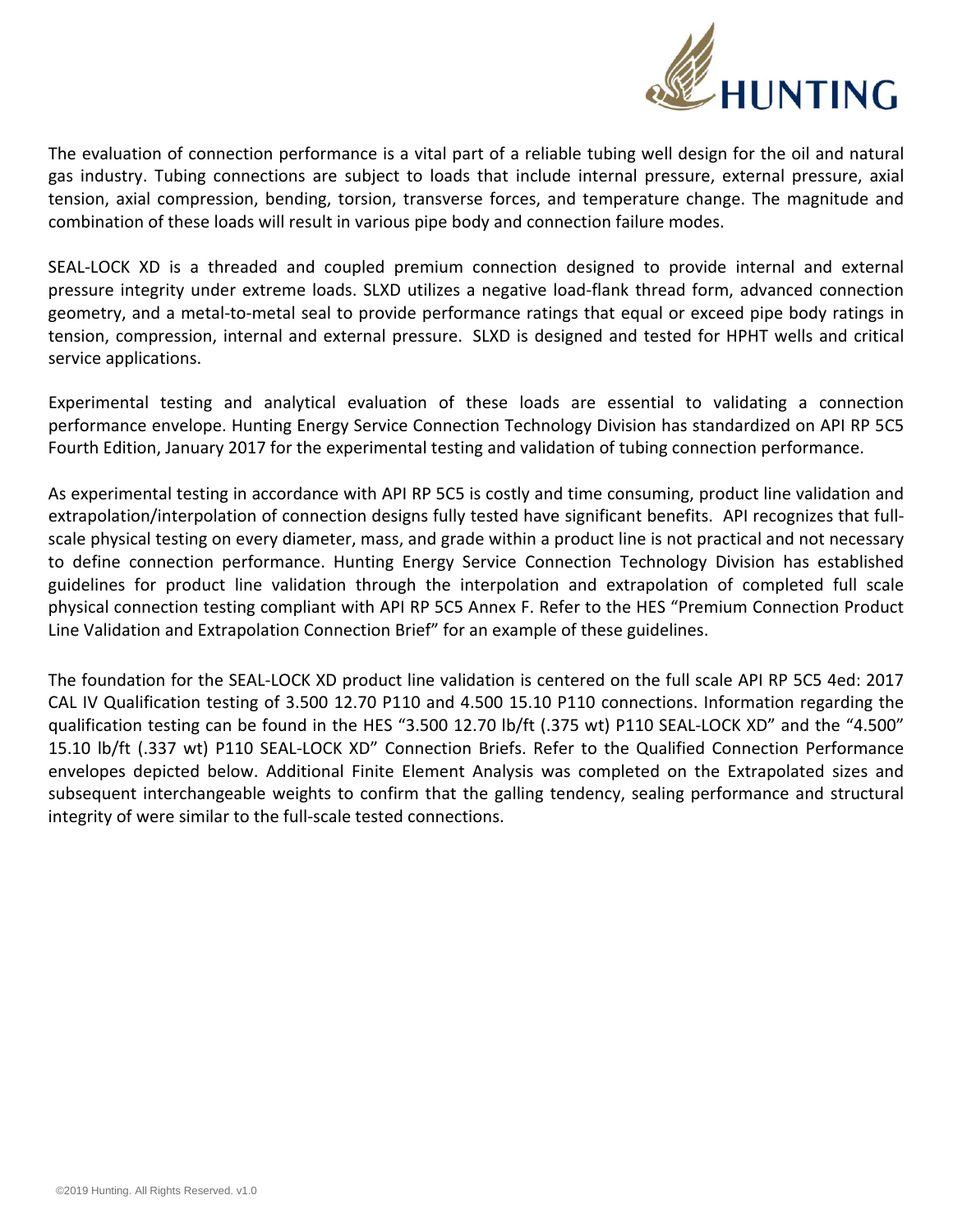

The evaluation of connection performance is a vital part of a reliable tubing well design for the oil and natural gas industry. Tubing connections are subject to loads that include internal pressure, external pressure, axial tension, axial compression, bending, torsion, transverse forces, and temperature change. The magnitude and combination of these loads will result in various pipe body and connection failure modes.

SEAL‐LOCK XD is a threaded and coupled premium connection designed to provide internal and external pressure integrity under extreme loads. SLXD utilizes a negative load‐flank thread form, advanced connection geometry, and a metal‐to‐metal seal to provide performance ratings that equal or exceed pipe body ratings in tension, compression, internal and external pressure. SLXD is designed and tested for HPHT wells and critical service applications.

Experimental testing and analytical evaluation of these loads are essential to validating a connection performance envelope. Hunting Energy Service Connection Technology Division has standardized on API RP 5C5 Fourth Edition, January 2017 for the experimental testing and validation of tubing connection performance.

As experimental testing in accordance with API RP 5C5 is costly and time consuming, product line validation and extrapolation/interpolation of connection designs fully tested have significant benefits. API recognizes that fullscale physical testing on every diameter, mass, and grade within a product line is not practical and not necessary to define connection performance. Hunting Energy Service Connection Technology Division has established guidelines for product line validation through the interpolation and extrapolation of completed full scale physical connection testing compliant with API RP 5C5 Annex F. Refer to the HES "Premium Connection Product Line Validation and Extrapolation Connection Brief" for an example of these guidelines.

The foundation for the SEAL‐LOCK XD product line validation is centered on the full scale API RP 5C5 4ed: 2017 CAL IV Qualification testing of 3.500 12.70 P110 and 4.500 15.10 P110 connections. Information regarding the qualification testing can be found in the HES "3.500 12.70 lb/ft (.375 wt) P110 SEAL-LOCK XD" and the "4.500" 15.10 lb/ft (.337 wt) P110 SEAL‐LOCK XD" Connection Briefs. Refer to the Qualified Connection Performance envelopes depicted below. Additional Finite Element Analysis was completed on the Extrapolated sizes and subsequent interchangeable weights to confirm that the galling tendency, sealing performance and structural integrity of were similar to the full‐scale tested connections.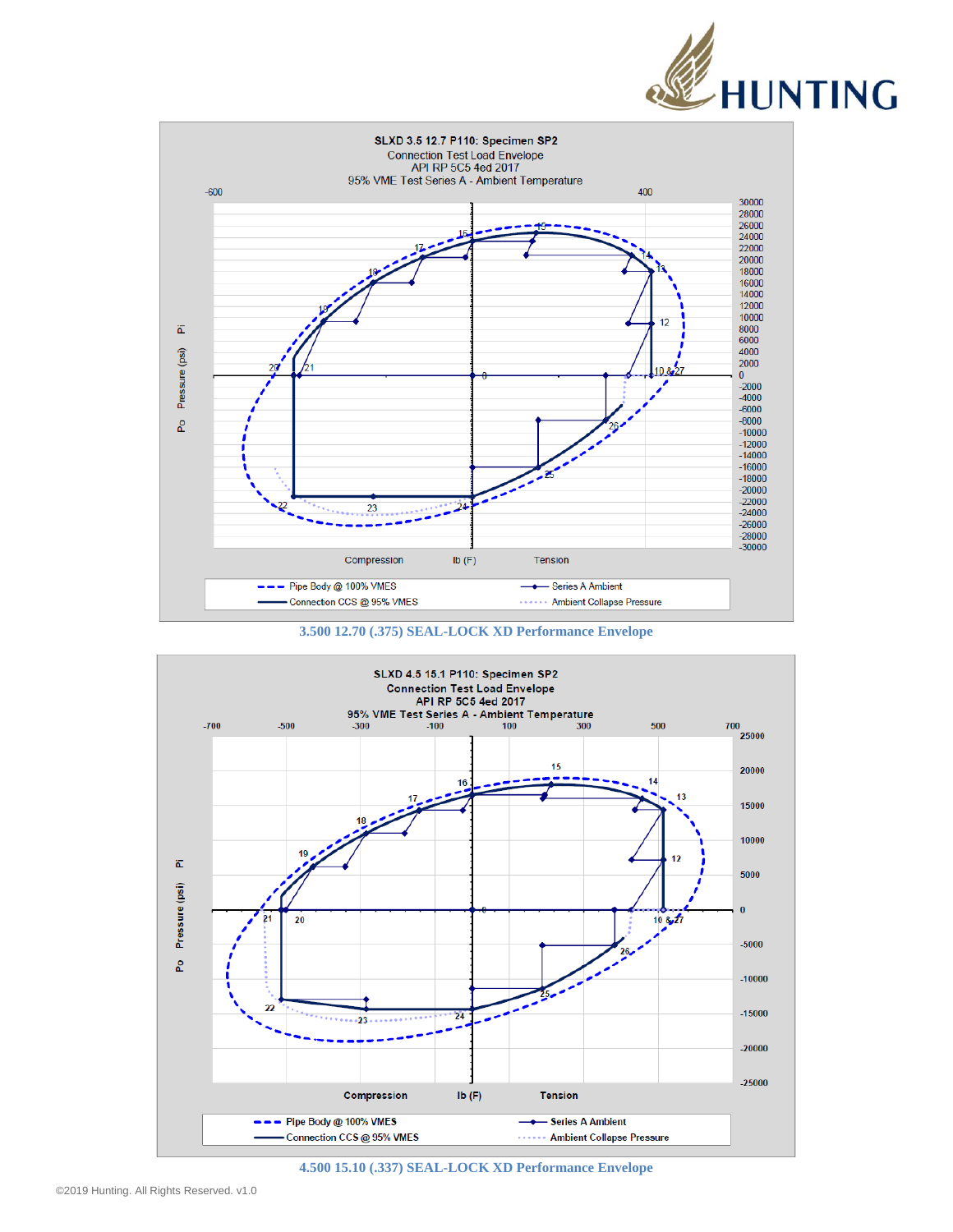







**4.500 15.10 (.337) SEAL-LOCK XD Performance Envelope**